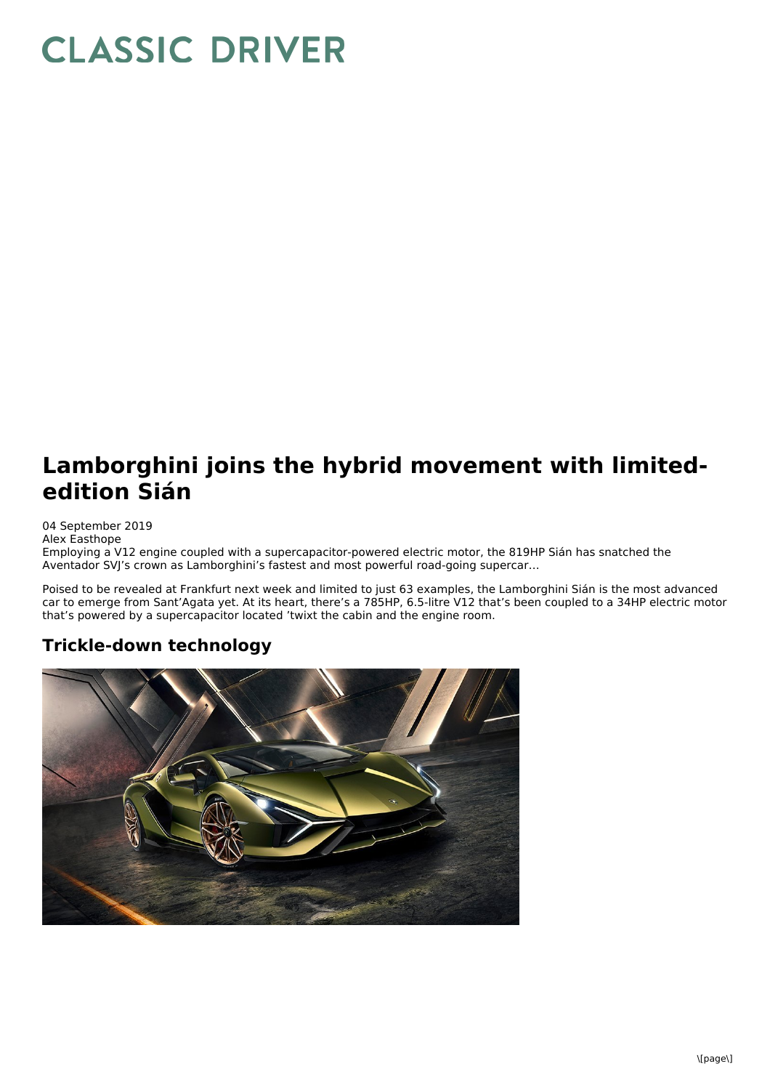## **CLASSIC DRIVER**

## **Lamborghini joins the hybrid movement with limitededition Sián**

04 September 2019 Alex Easthope Employing a V12 engine coupled with a supercapacitor-powered electric motor, the 819HP Sián has snatched the Aventador SVJ's crown as Lamborghini's fastest and most powerful road-going supercar…

Poised to be revealed at Frankfurt next week and limited to just 63 examples, the Lamborghini Sián is the most advanced car to emerge from Sant'Agata yet. At its heart, there's a 785HP, 6.5-litre V12 that's been coupled to a 34HP electric motor that's powered by a supercapacitor located 'twixt the cabin and the engine room.

## **Trickle-down technology**